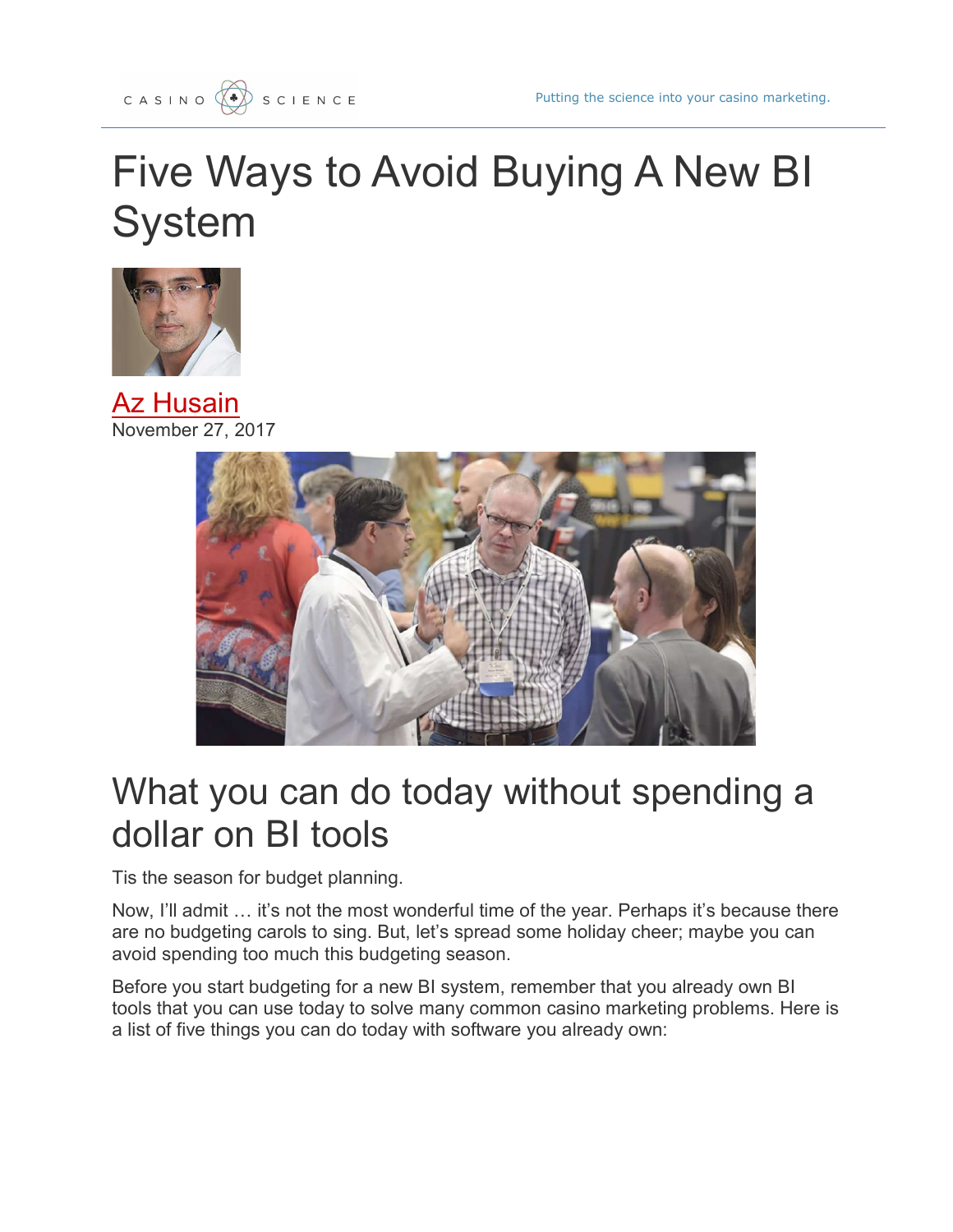# Five Ways to Avoid Buying A New BI **System**



**Az Husain** November 27, 2017



## What you can do today without spending a dollar on BI tools

Tis the season for budget planning.

Now, I'll admit … it's not the most wonderful time of the year. Perhaps it's because there are no budgeting carols to sing. But, let's spread some holiday cheer; maybe you can avoid spending too much this budgeting season.

Before you start budgeting for a new BI system, remember that you already own BI tools that you can use today to solve many common casino marketing problems. Here is a list of five things you can do today with software you already own: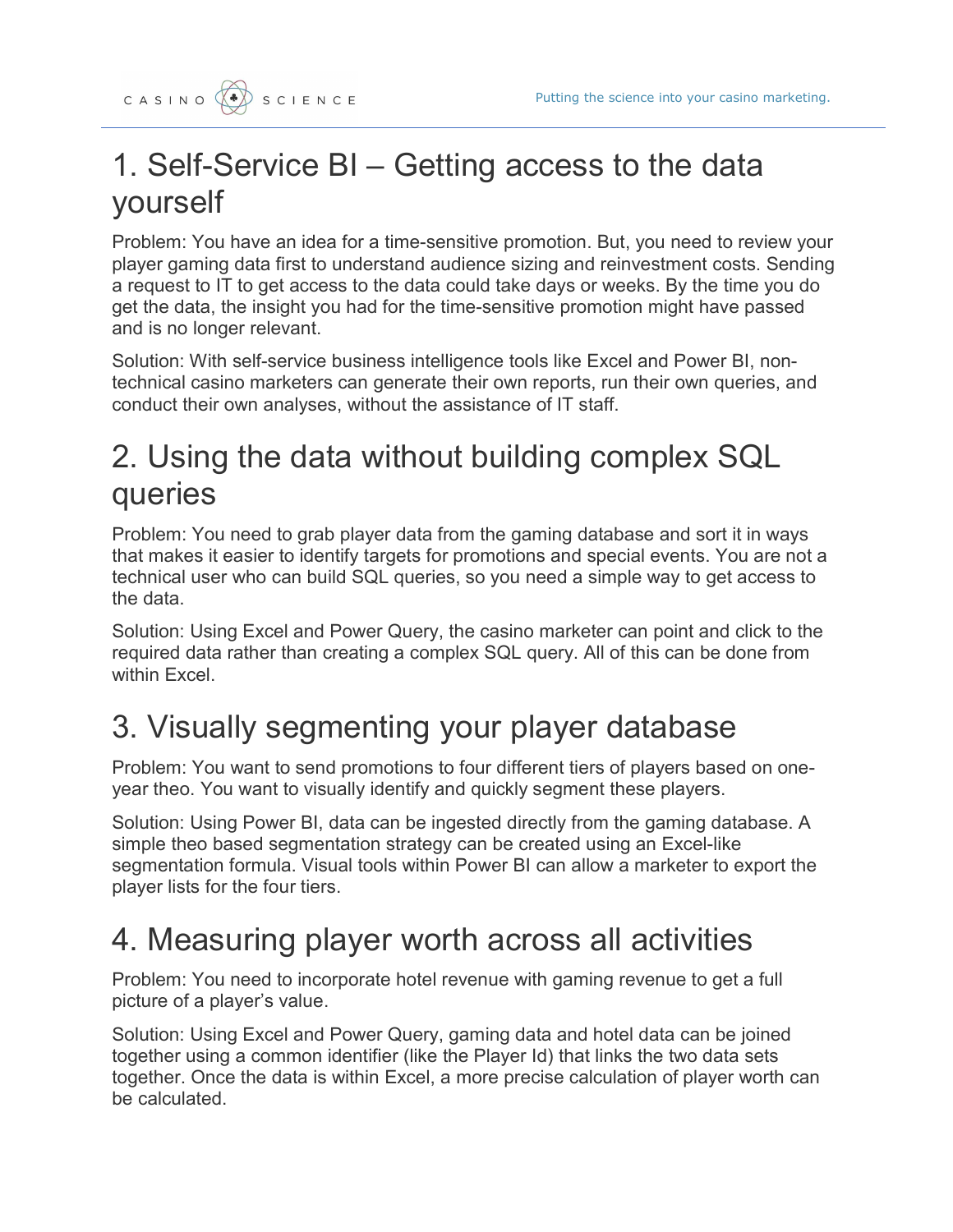

#### 1. Self-Service BI – Getting access to the data yourself

Problem: You have an idea for a time-sensitive promotion. But, you need to review your player gaming data first to understand audience sizing and reinvestment costs. Sending a request to IT to get access to the data could take days or weeks. By the time you do get the data, the insight you had for the time-sensitive promotion might have passed and is no longer relevant.

Solution: With self-service business intelligence tools like Excel and Power BI, nontechnical casino marketers can generate their own reports, run their own queries, and conduct their own analyses, without the assistance of IT staff.

#### 2. Using the data without building complex SQL queries

Problem: You need to grab player data from the gaming database and sort it in ways that makes it easier to identify targets for promotions and special events. You are not a technical user who can build SQL queries, so you need a simple way to get access to the data.

Solution: Using Excel and Power Query, the casino marketer can point and click to the required data rather than creating a complex SQL query. All of this can be done from within Excel.

### 3. Visually segmenting your player database

Problem: You want to send promotions to four different tiers of players based on oneyear theo. You want to visually identify and quickly segment these players.

Solution: Using Power BI, data can be ingested directly from the gaming database. A simple theo based segmentation strategy can be created using an Excel-like segmentation formula. Visual tools within Power BI can allow a marketer to export the player lists for the four tiers.

#### 4. Measuring player worth across all activities

Problem: You need to incorporate hotel revenue with gaming revenue to get a full picture of a player's value.

Solution: Using Excel and Power Query, gaming data and hotel data can be joined together using a common identifier (like the Player Id) that links the two data sets together. Once the data is within Excel, a more precise calculation of player worth can be calculated.